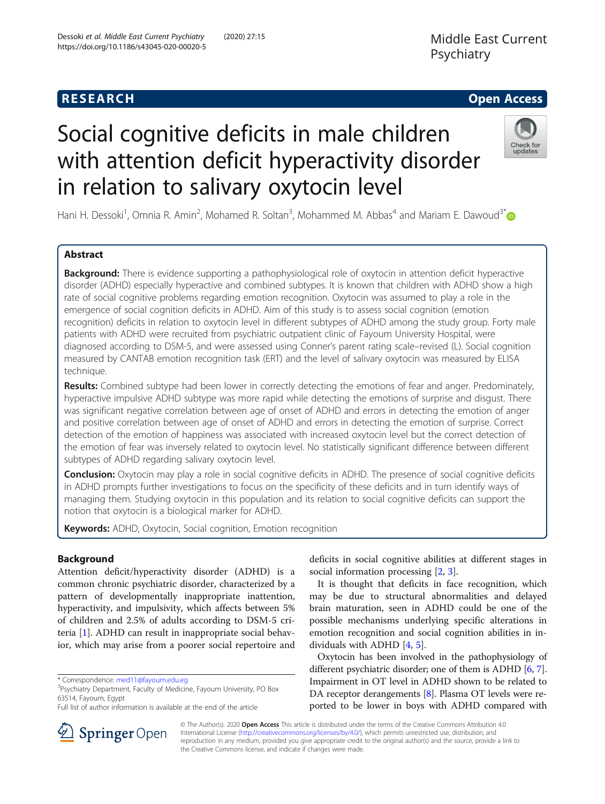Dessoki et al. Middle East Current Psychiatry (2020) 27:15

https://doi.org/10.1186/s43045-020-00020-5

# Social cognitive deficits in male children with attention deficit hyperactivity disorder in relation to salivary oxytocin level



Hani H. Dessoki<sup>1</sup>, Omnia R. Amin<sup>2</sup>, Mohamed R. Soltan<sup>3</sup>, Mohammed M. Abbas<sup>4</sup> and Mariam E. Dawoud<sup>3\*</sup>

# Abstract

**Background:** There is evidence supporting a pathophysiological role of oxytocin in attention deficit hyperactive disorder (ADHD) especially hyperactive and combined subtypes. It is known that children with ADHD show a high rate of social cognitive problems regarding emotion recognition. Oxytocin was assumed to play a role in the emergence of social cognition deficits in ADHD. Aim of this study is to assess social cognition (emotion recognition) deficits in relation to oxytocin level in different subtypes of ADHD among the study group. Forty male patients with ADHD were recruited from psychiatric outpatient clinic of Fayoum University Hospital, were diagnosed according to DSM-5, and were assessed using Conner's parent rating scale–revised (L). Social cognition measured by CANTAB emotion recognition task (ERT) and the level of salivary oxytocin was measured by ELISA technique.

Results: Combined subtype had been lower in correctly detecting the emotions of fear and anger. Predominately, hyperactive impulsive ADHD subtype was more rapid while detecting the emotions of surprise and disgust. There was significant negative correlation between age of onset of ADHD and errors in detecting the emotion of anger and positive correlation between age of onset of ADHD and errors in detecting the emotion of surprise. Correct detection of the emotion of happiness was associated with increased oxytocin level but the correct detection of the emotion of fear was inversely related to oxytocin level. No statistically significant difference between different subtypes of ADHD regarding salivary oxytocin level.

**Conclusion:** Oxytocin may play a role in social cognitive deficits in ADHD. The presence of social cognitive deficits in ADHD prompts further investigations to focus on the specificity of these deficits and in turn identify ways of managing them. Studying oxytocin in this population and its relation to social cognitive deficits can support the notion that oxytocin is a biological marker for ADHD.

Keywords: ADHD, Oxytocin, Social cognition, Emotion recognition

# Background

Attention deficit/hyperactivity disorder (ADHD) is a common chronic psychiatric disorder, characterized by a pattern of developmentally inappropriate inattention, hyperactivity, and impulsivity, which affects between 5% of children and 2.5% of adults according to DSM-5 criteria [[1\]](#page-7-0). ADHD can result in inappropriate social behavior, which may arise from a poorer social repertoire and

deficits in social cognitive abilities at different stages in social information processing [\[2,](#page-7-0) [3\]](#page-7-0).

It is thought that deficits in face recognition, which may be due to structural abnormalities and delayed brain maturation, seen in ADHD could be one of the possible mechanisms underlying specific alterations in emotion recognition and social cognition abilities in individuals with ADHD [[4](#page-7-0), [5](#page-7-0)].

Oxytocin has been involved in the pathophysiology of different psychiatric disorder; one of them is ADHD [\[6,](#page-7-0) [7](#page-7-0)]. Impairment in OT level in ADHD shown to be related to DA receptor derangements [[8\]](#page-7-0). Plasma OT levels were reported to be lower in boys with ADHD compared with



© The Author(s). 2020 Open Access This article is distributed under the terms of the Creative Commons Attribution 4.0 International License ([http://creativecommons.org/licenses/by/4.0/\)](http://creativecommons.org/licenses/by/4.0/), which permits unrestricted use, distribution, and reproduction in any medium, provided you give appropriate credit to the original author(s) and the source, provide a link to the Creative Commons license, and indicate if changes were made.

<sup>\*</sup> Correspondence: [med11@fayoum.edu.eg](mailto:med11@fayoum.edu.eg) <sup>3</sup>

<sup>&</sup>lt;sup>3</sup>Psychiatry Department, Faculty of Medicine, Fayoum University, PO Box 63514, Fayoum, Egypt

Full list of author information is available at the end of the article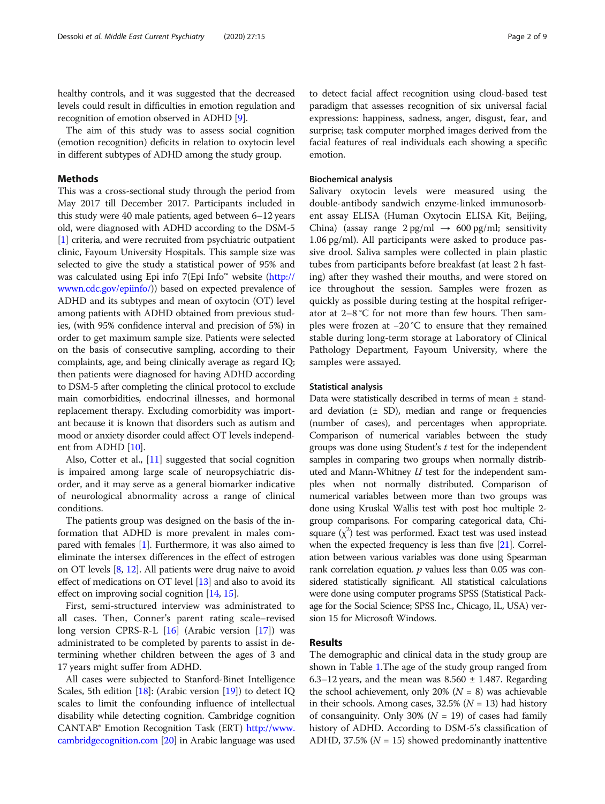recognition of emotion observed in ADHD [\[9\]](#page-7-0). The aim of this study was to assess social cognition (emotion recognition) deficits in relation to oxytocin level in different subtypes of ADHD among the study group.

# Methods

This was a cross-sectional study through the period from May 2017 till December 2017. Participants included in this study were 40 male patients, aged between 6–12 years old, were diagnosed with ADHD according to the DSM-5 [[1\]](#page-7-0) criteria, and were recruited from psychiatric outpatient clinic, Fayoum University Hospitals. This sample size was selected to give the study a statistical power of 95% and was calculated using Epi info 7(Epi Info™ website ([http://](http://wwwn.cdc.gov/epiinfo/) [wwwn.cdc.gov/epiinfo/\)](http://wwwn.cdc.gov/epiinfo/)) based on expected prevalence of ADHD and its subtypes and mean of oxytocin (OT) level among patients with ADHD obtained from previous studies, (with 95% confidence interval and precision of 5%) in order to get maximum sample size. Patients were selected on the basis of consecutive sampling, according to their complaints, age, and being clinically average as regard IQ; then patients were diagnosed for having ADHD according to DSM-5 after completing the clinical protocol to exclude main comorbidities, endocrinal illnesses, and hormonal replacement therapy. Excluding comorbidity was important because it is known that disorders such as autism and mood or anxiety disorder could affect OT levels independent from ADHD [\[10\]](#page-7-0).

Also, Cotter et al., [\[11\]](#page-7-0) suggested that social cognition is impaired among large scale of neuropsychiatric disorder, and it may serve as a general biomarker indicative of neurological abnormality across a range of clinical conditions.

The patients group was designed on the basis of the information that ADHD is more prevalent in males compared with females [[1](#page-7-0)]. Furthermore, it was also aimed to eliminate the intersex differences in the effect of estrogen on OT levels [[8](#page-7-0), [12\]](#page-7-0). All patients were drug naive to avoid effect of medications on OT level [[13](#page-7-0)] and also to avoid its effect on improving social cognition [\[14,](#page-7-0) [15\]](#page-7-0).

First, semi-structured interview was administrated to all cases. Then, Conner's parent rating scale–revised long version CPRS-R-L [[16\]](#page-7-0) (Arabic version [\[17](#page-7-0)]) was administrated to be completed by parents to assist in determining whether children between the ages of 3 and 17 years might suffer from ADHD.

All cases were subjected to Stanford-Binet Intelligence Scales, 5th edition [\[18\]](#page-7-0): (Arabic version [\[19\]](#page-7-0)) to detect IQ scales to limit the confounding influence of intellectual disability while detecting cognition. Cambridge cognition CANTAB® Emotion Recognition Task (ERT) [http://www.](http://www.cambridgecognition.com/) [cambridgecognition.com](http://www.cambridgecognition.com/) [\[20](#page-7-0)] in Arabic language was used

to detect facial affect recognition using cloud-based test paradigm that assesses recognition of six universal facial expressions: happiness, sadness, anger, disgust, fear, and surprise; task computer morphed images derived from the facial features of real individuals each showing a specific emotion.

# Biochemical analysis

Salivary oxytocin levels were measured using the double-antibody sandwich enzyme-linked immunosorbent assay ELISA (Human Oxytocin ELISA Kit, Beijing, China) (assay range  $2 \text{ pg/ml} \rightarrow 600 \text{ pg/ml}$ ; sensitivity 1.06 pg/ml). All participants were asked to produce passive drool. Saliva samples were collected in plain plastic tubes from participants before breakfast (at least 2 h fasting) after they washed their mouths, and were stored on ice throughout the session. Samples were frozen as quickly as possible during testing at the hospital refrigerator at 2–8 °C for not more than few hours. Then samples were frozen at −20 °C to ensure that they remained stable during long-term storage at Laboratory of Clinical Pathology Department, Fayoum University, where the samples were assayed.

### Statistical analysis

Data were statistically described in terms of mean ± standard deviation  $(\pm SD)$ , median and range or frequencies (number of cases), and percentages when appropriate. Comparison of numerical variables between the study groups was done using Student's t test for the independent samples in comparing two groups when normally distributed and Mann-Whitney  $U$  test for the independent samples when not normally distributed. Comparison of numerical variables between more than two groups was done using Kruskal Wallis test with post hoc multiple 2 group comparisons. For comparing categorical data, Chisquare  $(\chi^2)$  test was performed. Exact test was used instead when the expected frequency is less than five [\[21\]](#page-7-0). Correlation between various variables was done using Spearman rank correlation equation.  $p$  values less than 0.05 was considered statistically significant. All statistical calculations were done using computer programs SPSS (Statistical Package for the Social Science; SPSS Inc., Chicago, IL, USA) version 15 for Microsoft Windows.

# Results

The demographic and clinical data in the study group are shown in Table [1.](#page-2-0)The age of the study group ranged from 6.3–12 years, and the mean was 8.560  $\pm$  1.487. Regarding the school achievement, only 20% ( $N = 8$ ) was achievable in their schools. Among cases, 32.5% ( $N = 13$ ) had history of consanguinity. Only 30% ( $N = 19$ ) of cases had family history of ADHD. According to DSM-5's classification of ADHD, 37.5% ( $N = 15$ ) showed predominantly inattentive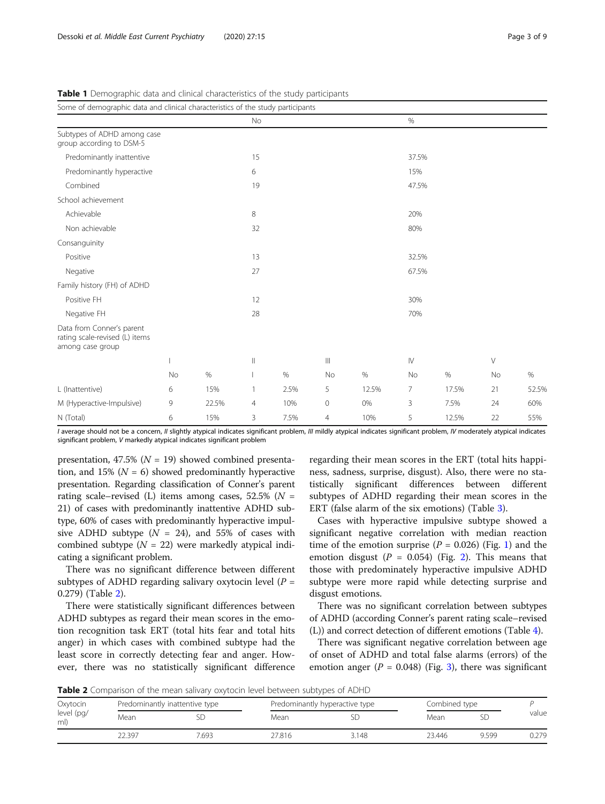| Some of demographic data and clinical characteristics of the study participants |    |       |                                       |      |                   |       |       |       |    |       |
|---------------------------------------------------------------------------------|----|-------|---------------------------------------|------|-------------------|-------|-------|-------|----|-------|
|                                                                                 |    |       | No                                    |      |                   |       | $\%$  |       |    |       |
| Subtypes of ADHD among case<br>group according to DSM-5                         |    |       |                                       |      |                   |       |       |       |    |       |
| Predominantly inattentive                                                       |    |       | 15                                    |      |                   |       | 37.5% |       |    |       |
| Predominantly hyperactive                                                       |    |       | 6                                     |      |                   |       | 15%   |       |    |       |
| Combined                                                                        |    |       | 19                                    |      |                   |       | 47.5% |       |    |       |
| School achievement                                                              |    |       |                                       |      |                   |       |       |       |    |       |
| Achievable                                                                      |    |       | 8                                     |      |                   |       | 20%   |       |    |       |
| Non achievable                                                                  |    |       | 32                                    |      |                   |       | 80%   |       |    |       |
| Consanguinity                                                                   |    |       |                                       |      |                   |       |       |       |    |       |
| Positive                                                                        |    |       | 13                                    |      |                   |       | 32.5% |       |    |       |
| Negative                                                                        |    |       | 27                                    |      |                   |       | 67.5% |       |    |       |
| Family history (FH) of ADHD                                                     |    |       |                                       |      |                   |       |       |       |    |       |
| Positive FH                                                                     |    |       | 12                                    |      |                   |       | 30%   |       |    |       |
| Negative FH                                                                     |    |       | 28                                    |      |                   |       | 70%   |       |    |       |
| Data from Conner's parent<br>rating scale-revised (L) items<br>among case group |    |       |                                       |      |                   |       |       |       |    |       |
|                                                                                 |    |       | $\begin{array}{c} \hline \end{array}$ |      | $\vert\vert\vert$ |       | IV    |       | V  |       |
|                                                                                 | No | $\%$  |                                       | $\%$ | No                | $\%$  | No    | $\%$  | No | $\%$  |
| L (Inattentive)                                                                 | 6  | 15%   | 1                                     | 2.5% | 5                 | 12.5% | 7     | 17.5% | 21 | 52.5% |
| M (Hyperactive-Impulsive)                                                       | 9  | 22.5% | $\overline{4}$                        | 10%  | $\mathbf 0$       | 0%    | 3     | 7.5%  | 24 | 60%   |
| N (Total)                                                                       | 6  | 15%   | 3                                     | 7.5% | 4                 | 10%   | 5     | 12.5% | 22 | 55%   |

<span id="page-2-0"></span>Table 1 Demographic data and clinical characteristics of the study participants

I average should not be a concern, II slightly atypical indicates significant problem, III mildly atypical indicates significant problem, IV moderately atypical indicates significant problem, V markedly atypical indicates significant problem

presentation, 47.5% ( $N = 19$ ) showed combined presentation, and 15% ( $N = 6$ ) showed predominantly hyperactive presentation. Regarding classification of Conner's parent rating scale–revised (L) items among cases,  $52.5\%$  ( $N =$ 21) of cases with predominantly inattentive ADHD subtype, 60% of cases with predominantly hyperactive impulsive ADHD subtype  $(N = 24)$ , and 55% of cases with combined subtype  $(N = 22)$  were markedly atypical indicating a significant problem.

There was no significant difference between different subtypes of ADHD regarding salivary oxytocin level ( $P =$ 0.279) (Table 2).

There were statistically significant differences between ADHD subtypes as regard their mean scores in the emotion recognition task ERT (total hits fear and total hits anger) in which cases with combined subtype had the least score in correctly detecting fear and anger. However, there was no statistically significant difference regarding their mean scores in the ERT (total hits happiness, sadness, surprise, disgust). Also, there were no statistically significant differences between different subtypes of ADHD regarding their mean scores in the ERT (false alarm of the six emotions) (Table [3\)](#page-3-0).

Cases with hyperactive impulsive subtype showed a significant negative correlation with median reaction time of the emotion surprise  $(P = 0.026)$  (Fig. [1](#page-3-0)) and the emotion disgust ( $P = 0.054$ ) (Fig. [2](#page-4-0)). This means that those with predominately hyperactive impulsive ADHD subtype were more rapid while detecting surprise and disgust emotions.

There was no significant correlation between subtypes of ADHD (according Conner's parent rating scale–revised (L)) and correct detection of different emotions (Table [4\)](#page-4-0).

There was significant negative correlation between age of onset of ADHD and total false alarms (errors) of the emotion anger ( $P = 0.048$ ) (Fig. [3\)](#page-5-0), there was significant

**Table 2** Comparison of the mean salivary oxytocin level between subtypes of ADHD

| Oxytocin<br>level (pg/<br>ml) |        | Predominantly inattentive type |        | Predominantly hyperactive type | Combined type |       |       |
|-------------------------------|--------|--------------------------------|--------|--------------------------------|---------------|-------|-------|
|                               | Mean   |                                | Mean   |                                | Mean          |       | value |
|                               | 22.397 | 693.                           | 27.816 | 3.148                          | 23.446        | 9.599 | 0.279 |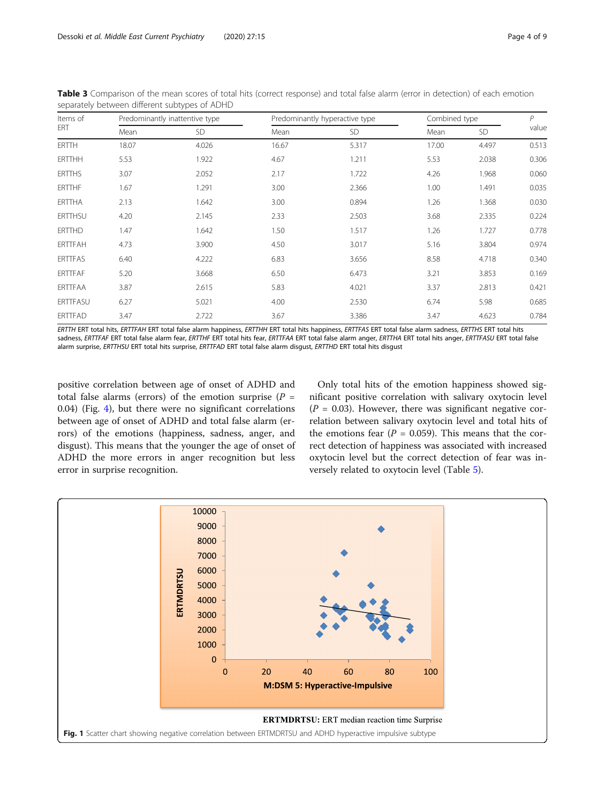| Items of<br>ERT |       | Predominantly inattentive type |       | Predominantly hyperactive type |       | Combined type |       |
|-----------------|-------|--------------------------------|-------|--------------------------------|-------|---------------|-------|
|                 | Mean  | SD                             | Mean  | SD                             | Mean  | SD            | value |
| <b>ERTTH</b>    | 18.07 | 4.026                          | 16.67 | 5.317                          | 17.00 | 4.497         | 0.513 |
| <b>ERTTHH</b>   | 5.53  | 1.922                          | 4.67  | 1.211                          | 5.53  | 2.038         | 0.306 |
| <b>ERTTHS</b>   | 3.07  | 2.052                          | 2.17  | 1.722                          | 4.26  | 1.968         | 0.060 |
| <b>ERTTHF</b>   | 1.67  | 1.291                          | 3.00  | 2.366                          | 1.00  | 1.491         | 0.035 |
| <b>ERTTHA</b>   | 2.13  | 1.642                          | 3.00  | 0.894                          | 1.26  | 1.368         | 0.030 |
| <b>ERTTHSU</b>  | 4.20  | 2.145                          | 2.33  | 2.503                          | 3.68  | 2.335         | 0.224 |
| <b>ERTTHD</b>   | 1.47  | 1.642                          | 1.50  | 1.517                          | 1.26  | 1.727         | 0.778 |
| <b>ERTTFAH</b>  | 4.73  | 3.900                          | 4.50  | 3.017                          | 5.16  | 3.804         | 0.974 |
| <b>ERTTFAS</b>  | 6.40  | 4.222                          | 6.83  | 3.656                          | 8.58  | 4.718         | 0.340 |
| <b>ERTTFAF</b>  | 5.20  | 3.668                          | 6.50  | 6.473                          | 3.21  | 3.853         | 0.169 |
| ERTTFAA         | 3.87  | 2.615                          | 5.83  | 4.021                          | 3.37  | 2.813         | 0.421 |
| ERTTFASU        | 6.27  | 5.021                          | 4.00  | 2.530                          | 6.74  | 5.98          | 0.685 |
| <b>ERTTFAD</b>  | 3.47  | 2.722                          | 3.67  | 3.386                          | 3.47  | 4.623         | 0.784 |

<span id="page-3-0"></span>Table 3 Comparison of the mean scores of total hits (correct response) and total false alarm (error in detection) of each emotion separately between different subtypes of ADHD

ERTTH ERT total hits, ERTTFAH ERT total false alarm happiness, ERTTHH ERT total hits happiness, ERTTFAS ERT total false alarm sadness, ERTTHS ERT total hits sadness, ERTTFAF ERT total false alarm fear, ERTTHF ERT total hits fear, ERTTFAA ERT total false alarm anger, ERTTHA ERT total hits anger, ERTTFASU ERT total false alarm surprise, ERTTHSU ERT total hits surprise, ERTTFAD ERT total false alarm disgust, ERTTHD ERT total hits disgust

positive correlation between age of onset of ADHD and total false alarms (errors) of the emotion surprise ( $P =$ 0.04) (Fig. [4](#page-5-0)), but there were no significant correlations between age of onset of ADHD and total false alarm (errors) of the emotions (happiness, sadness, anger, and disgust). This means that the younger the age of onset of ADHD the more errors in anger recognition but less error in surprise recognition.

Only total hits of the emotion happiness showed significant positive correlation with salivary oxytocin level  $(P = 0.03)$ . However, there was significant negative correlation between salivary oxytocin level and total hits of the emotions fear  $(P = 0.059)$ . This means that the correct detection of happiness was associated with increased oxytocin level but the correct detection of fear was inversely related to oxytocin level (Table [5\)](#page-6-0).

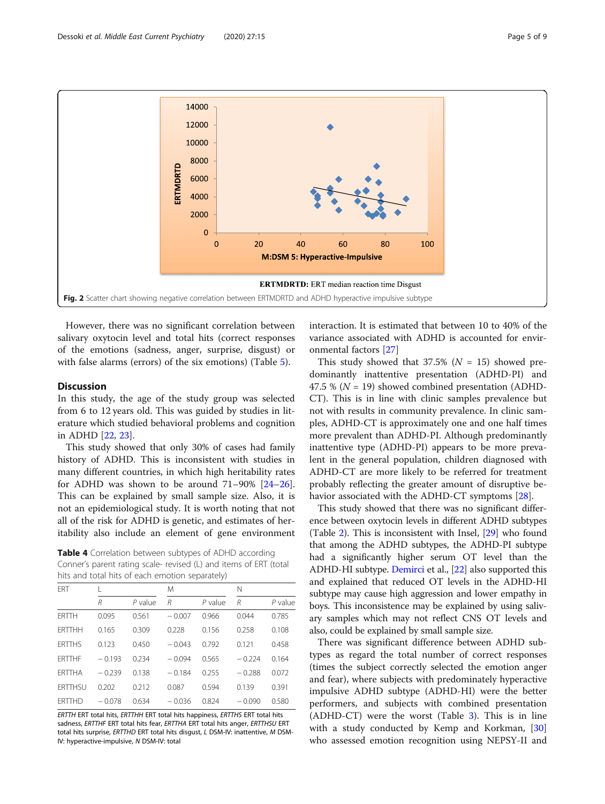<span id="page-4-0"></span>

However, there was no significant correlation between salivary oxytocin level and total hits (correct responses of the emotions (sadness, anger, surprise, disgust) or with false alarms (errors) of the six emotions) (Table [5\)](#page-6-0).

# **Discussion**

In this study, the age of the study group was selected from 6 to 12 years old. This was guided by studies in literature which studied behavioral problems and cognition in ADHD [[22](#page-7-0), [23](#page-8-0)].

This study showed that only 30% of cases had family history of ADHD. This is inconsistent with studies in many different countries, in which high heritability rates for ADHD was shown to be around 71–90% [[24](#page-8-0)–[26](#page-8-0)]. This can be explained by small sample size. Also, it is not an epidemiological study. It is worth noting that not all of the risk for ADHD is genetic, and estimates of heritability also include an element of gene environment

Table 4 Correlation between subtypes of ADHD according Conner's parent rating scale- revised (L) and items of ERT (total hits and total hits of each emotion separately)

| <b>FRT</b>     |          |           | M        |           | Ν        |           |
|----------------|----------|-----------|----------|-----------|----------|-----------|
|                | R        | $P$ value | R        | $P$ value | R        | $P$ value |
| <b>FRTTH</b>   | 0.095    | 0.561     | $-0.007$ | 0.966     | 0.044    | 0.785     |
| <b>FRTTHH</b>  | 0.165    | 0.309     | 0.228    | 0.156     | 0.258    | 0.108     |
| <b>ERTTHS</b>  | 0.123    | 0.450     | $-0.043$ | 0.792     | 0.121    | 0.458     |
| <b>FRTTHF</b>  | $-0.193$ | 0.234     | $-0.094$ | 0.565     | $-0.224$ | 0.164     |
| <b>FRTTHA</b>  | $-0.239$ | 0.138     | $-0.184$ | 0.255     | $-0.288$ | 0.072     |
| <b>FRTTHSU</b> | 0.202    | 0.212     | 0.087    | 0.594     | 0.139    | 0.391     |
| <b>FRTTHD</b>  | $-0.078$ | 0.634     | $-0.036$ | 0.824     | $-0.090$ | 0.580     |

ERTTH ERT total hits, ERTTHH ERT total hits happiness, ERTTHS ERT total hits sadness, ERTTHF ERT total hits fear, ERTTHA ERT total hits anger, ERTTHSU ERT total hits surprise, ERTTHD ERT total hits disgust, L DSM-IV: inattentive, M DSM-IV: hyperactive-impulsive, N DSM-IV: total

interaction. It is estimated that between 10 to 40% of the variance associated with ADHD is accounted for environmental factors [[27\]](#page-8-0)

This study showed that  $37.5\%$  ( $N = 15$ ) showed predominantly inattentive presentation (ADHD-PI) and 47.5 % ( $N = 19$ ) showed combined presentation (ADHD-CT). This is in line with clinic samples prevalence but not with results in community prevalence. In clinic samples, ADHD-CT is approximately one and one half times more prevalent than ADHD-PI. Although predominantly inattentive type (ADHD-PI) appears to be more prevalent in the general population, children diagnosed with ADHD-CT are more likely to be referred for treatment probably reflecting the greater amount of disruptive behavior associated with the ADHD-CT symptoms [[28](#page-8-0)].

This study showed that there was no significant difference between oxytocin levels in different ADHD subtypes (Table [2\)](#page-2-0). This is inconsistent with Insel, [\[29\]](#page-8-0) who found that among the ADHD subtypes, the ADHD-PI subtype had a significantly higher serum OT level than the ADHD-HI subtype. [Demirci](https://www.ncbi.nlm.nih.gov/pubmed/?term=DEM%26%23x00130%3BRC%26%23x00130%3B%20E%5BAuthor%5D&cauthor=true&cauthor_uid=28360801) et al., [\[22\]](#page-7-0) also supported this and explained that reduced OT levels in the ADHD-HI subtype may cause high aggression and lower empathy in boys. This inconsistence may be explained by using salivary samples which may not reflect CNS OT levels and also, could be explained by small sample size.

There was significant difference between ADHD subtypes as regard the total number of correct responses (times the subject correctly selected the emotion anger and fear), where subjects with predominately hyperactive impulsive ADHD subtype (ADHD-HI) were the better performers, and subjects with combined presentation (ADHD-CT) were the worst (Table [3\)](#page-3-0). This is in line with a study conducted by Kemp and Korkman, [[30](#page-8-0)] who assessed emotion recognition using NEPSY-II and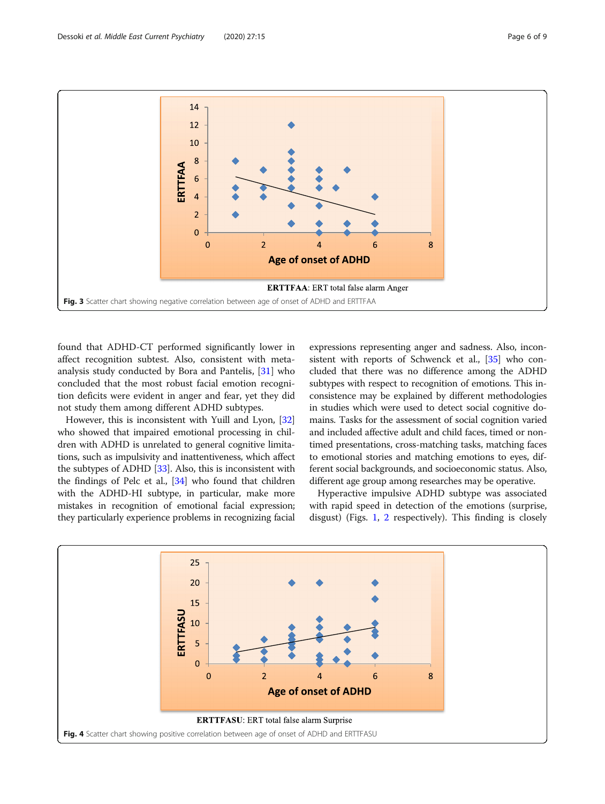<span id="page-5-0"></span>

found that ADHD-CT performed significantly lower in affect recognition subtest. Also, consistent with metaanalysis study conducted by Bora and Pantelis, [[31\]](#page-8-0) who concluded that the most robust facial emotion recognition deficits were evident in anger and fear, yet they did not study them among different ADHD subtypes.

However, this is inconsistent with Yuill and Lyon, [[32](#page-8-0)] who showed that impaired emotional processing in children with ADHD is unrelated to general cognitive limitations, such as impulsivity and inattentiveness, which affect the subtypes of ADHD [[33](#page-8-0)]. Also, this is inconsistent with the findings of Pelc et al., [\[34\]](#page-8-0) who found that children with the ADHD-HI subtype, in particular, make more mistakes in recognition of emotional facial expression; they particularly experience problems in recognizing facial

expressions representing anger and sadness. Also, incon-sistent with reports of Schwenck et al., [[35](#page-8-0)] who concluded that there was no difference among the ADHD subtypes with respect to recognition of emotions. This inconsistence may be explained by different methodologies in studies which were used to detect social cognitive domains. Tasks for the assessment of social cognition varied and included affective adult and child faces, timed or nontimed presentations, cross-matching tasks, matching faces to emotional stories and matching emotions to eyes, different social backgrounds, and socioeconomic status. Also, different age group among researches may be operative.

Hyperactive impulsive ADHD subtype was associated with rapid speed in detection of the emotions (surprise, disgust) (Figs. [1,](#page-3-0) [2](#page-4-0) respectively). This finding is closely

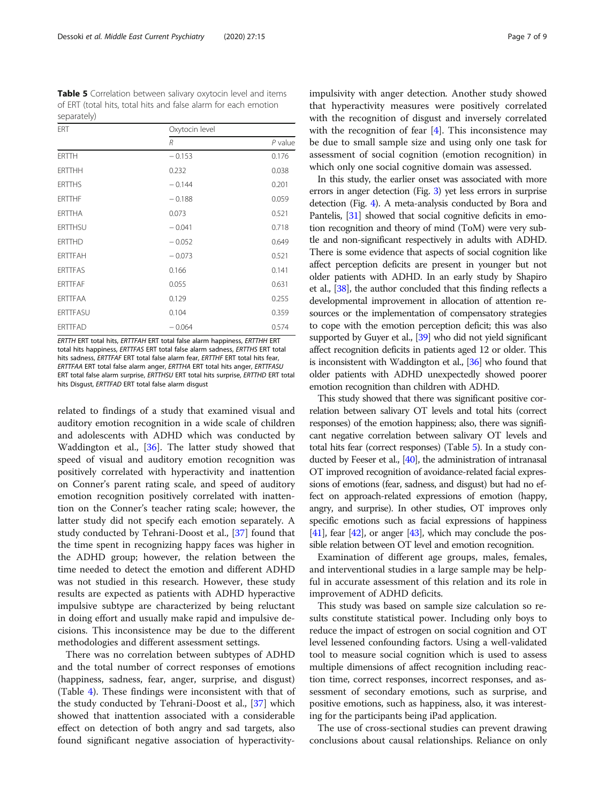<span id="page-6-0"></span>Table 5 Correlation between salivary oxytocin level and items of ERT (total hits, total hits and false alarm for each emotion separately)

| ERT            | Oxytocin level |           |  |
|----------------|----------------|-----------|--|
|                | R              | $P$ value |  |
| <b>ERTTH</b>   | $-0.153$       | 0.176     |  |
| <b>ERTTHH</b>  | 0.232          | 0.038     |  |
| <b>ERTTHS</b>  | $-0.144$       | 0.201     |  |
| <b>ERTTHF</b>  | $-0.188$       | 0.059     |  |
| ERTTHA         | 0.073          | 0.521     |  |
| <b>ERTTHSU</b> | $-0.041$       | 0.718     |  |
| <b>ERTTHD</b>  | $-0.052$       | 0.649     |  |
| <b>ERTTFAH</b> | $-0.073$       | 0.521     |  |
| <b>ERTTFAS</b> | 0.166          | 0.141     |  |
| <b>ERTTFAF</b> | 0.055          | 0.631     |  |
| <b>ERTTFAA</b> | 0.129          | 0.255     |  |
| ERTTFASU       | 0.104          | 0.359     |  |
| <b>ERTTFAD</b> | $-0.064$       | 0.574     |  |

ERTTH ERT total hits, ERTTFAH ERT total false alarm happiness, ERTTHH ERT total hits happiness, ERTTFAS ERT total false alarm sadness, ERTTHS ERT total hits sadness, ERTTFAF ERT total false alarm fear, ERTTHF ERT total hits fear, ERTTFAA ERT total false alarm anger, ERTTHA ERT total hits anger, ERTTFASU ERT total false alarm surprise, ERTTHSU ERT total hits surprise, ERTTHD ERT total hits Disgust, ERTTFAD ERT total false alarm disgust

related to findings of a study that examined visual and auditory emotion recognition in a wide scale of children and adolescents with ADHD which was conducted by Waddington et al., [[36](#page-8-0)]. The latter study showed that speed of visual and auditory emotion recognition was positively correlated with hyperactivity and inattention on Conner's parent rating scale, and speed of auditory emotion recognition positively correlated with inattention on the Conner's teacher rating scale; however, the latter study did not specify each emotion separately. A study conducted by Tehrani-Doost et al., [\[37](#page-8-0)] found that the time spent in recognizing happy faces was higher in the ADHD group; however, the relation between the time needed to detect the emotion and different ADHD was not studied in this research. However, these study results are expected as patients with ADHD hyperactive impulsive subtype are characterized by being reluctant in doing effort and usually make rapid and impulsive decisions. This inconsistence may be due to the different methodologies and different assessment settings.

There was no correlation between subtypes of ADHD and the total number of correct responses of emotions (happiness, sadness, fear, anger, surprise, and disgust) (Table [4\)](#page-4-0). These findings were inconsistent with that of the study conducted by Tehrani-Doost et al., [[37\]](#page-8-0) which showed that inattention associated with a considerable effect on detection of both angry and sad targets, also found significant negative association of hyperactivityimpulsivity with anger detection. Another study showed that hyperactivity measures were positively correlated with the recognition of disgust and inversely correlated with the recognition of fear  $[4]$  $[4]$ . This inconsistence may be due to small sample size and using only one task for assessment of social cognition (emotion recognition) in which only one social cognitive domain was assessed.

In this study, the earlier onset was associated with more errors in anger detection (Fig. [3\)](#page-5-0) yet less errors in surprise detection (Fig. [4\)](#page-5-0). A meta-analysis conducted by Bora and Pantelis, [[31\]](#page-8-0) showed that social cognitive deficits in emotion recognition and theory of mind (ToM) were very subtle and non-significant respectively in adults with ADHD. There is some evidence that aspects of social cognition like affect perception deficits are present in younger but not older patients with ADHD. In an early study by Shapiro et al., [[38](#page-8-0)], the author concluded that this finding reflects a developmental improvement in allocation of attention resources or the implementation of compensatory strategies to cope with the emotion perception deficit; this was also supported by Guyer et al., [\[39](#page-8-0)] who did not yield significant affect recognition deficits in patients aged 12 or older. This is inconsistent with Waddington et al., [\[36\]](#page-8-0) who found that older patients with ADHD unexpectedly showed poorer emotion recognition than children with ADHD.

This study showed that there was significant positive correlation between salivary OT levels and total hits (correct responses) of the emotion happiness; also, there was significant negative correlation between salivary OT levels and total hits fear (correct responses) (Table 5). In a study con-ducted by Feeser et al., [\[40](#page-8-0)], the administration of intranasal OT improved recognition of avoidance-related facial expressions of emotions (fear, sadness, and disgust) but had no effect on approach-related expressions of emotion (happy, angry, and surprise). In other studies, OT improves only specific emotions such as facial expressions of happiness  $[41]$  $[41]$  $[41]$ , fear  $[42]$  $[42]$ , or anger  $[43]$ , which may conclude the possible relation between OT level and emotion recognition.

Examination of different age groups, males, females, and interventional studies in a large sample may be helpful in accurate assessment of this relation and its role in improvement of ADHD deficits.

This study was based on sample size calculation so results constitute statistical power. Including only boys to reduce the impact of estrogen on social cognition and OT level lessened confounding factors. Using a well-validated tool to measure social cognition which is used to assess multiple dimensions of affect recognition including reaction time, correct responses, incorrect responses, and assessment of secondary emotions, such as surprise, and positive emotions, such as happiness, also, it was interesting for the participants being iPad application.

The use of cross-sectional studies can prevent drawing conclusions about causal relationships. Reliance on only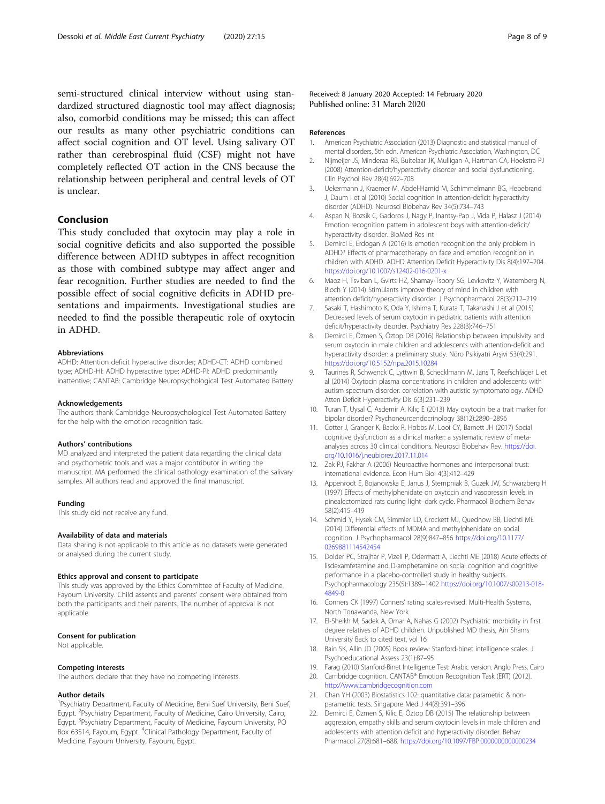<span id="page-7-0"></span>semi-structured clinical interview without using standardized structured diagnostic tool may affect diagnosis; also, comorbid conditions may be missed; this can affect our results as many other psychiatric conditions can affect social cognition and OT level. Using salivary OT rather than cerebrospinal fluid (CSF) might not have completely reflected OT action in the CNS because the relationship between peripheral and central levels of OT is unclear.

# Conclusion

This study concluded that oxytocin may play a role in social cognitive deficits and also supported the possible difference between ADHD subtypes in affect recognition as those with combined subtype may affect anger and fear recognition. Further studies are needed to find the possible effect of social cognitive deficits in ADHD presentations and impairments. Investigational studies are needed to find the possible therapeutic role of oxytocin in ADHD.

#### Abbreviations

ADHD: Attention deficit hyperactive disorder; ADHD-CT: ADHD combined type; ADHD-HI: ADHD hyperactive type; ADHD-PI: ADHD predominantly inattentive; CANTAB: Cambridge Neuropsychological Test Automated Battery

#### Acknowledgements

The authors thank Cambridge Neuropsychological Test Automated Battery for the help with the emotion recognition task.

#### Authors' contributions

MD analyzed and interpreted the patient data regarding the clinical data and psychometric tools and was a major contributor in writing the manuscript. MA performed the clinical pathology examination of the salivary samples. All authors read and approved the final manuscript.

#### Funding

This study did not receive any fund.

#### Availability of data and materials

Data sharing is not applicable to this article as no datasets were generated or analysed during the current study.

#### Ethics approval and consent to participate

This study was approved by the Ethics Committee of Faculty of Medicine, Fayoum University. Child assents and parents' consent were obtained from both the participants and their parents. The number of approval is not applicable.

### Consent for publication

Not applicable.

#### Competing interests

The authors declare that they have no competing interests.

#### Author details

<sup>1</sup>Psychiatry Department, Faculty of Medicine, Beni Suef University, Beni Suef, Egypt. <sup>2</sup>Psychiatry Department, Faculty of Medicine, Cairo University, Cairo, Egypt. <sup>3</sup>Psychiatry Department, Faculty of Medicine, Fayoum University, PO Box 63514, Fayoum, Egypt. <sup>4</sup>Clinical Pathology Department, Faculty of Medicine, Fayoum University, Fayoum, Egypt.

Received: 8 January 2020 Accepted: 14 February 2020 Published online: 31 March 2020

#### References

- 1. American Psychiatric Association (2013) Diagnostic and statistical manual of mental disorders, 5th edn. American Psychiatric Association, Washington, DC
- 2. Nijmeijer JS, Minderaa RB, Buitelaar JK, Mulligan A, Hartman CA, Hoekstra PJ (2008) Attention-deficit/hyperactivity disorder and social dysfunctioning. Clin Psychol Rev 28(4):692–708
- 3. Uekermann J, Kraemer M, Abdel-Hamid M, Schimmelmann BG, Hebebrand J, Daum I et al (2010) Social cognition in attention-deficit hyperactivity disorder (ADHD). Neurosci Biobehav Rev 34(5):734–743
- 4. Aspan N, Bozsik C, Gadoros J, Nagy P, Inantsy-Pap J, Vida P, Halasz J (2014) Emotion recognition pattern in adolescent boys with attention-deficit/ hyperactivity disorder. BioMed Res Int
- 5. Demirci E, Erdogan A (2016) Is emotion recognition the only problem in ADHD? Effects of pharmacotherapy on face and emotion recognition in children with ADHD. ADHD Attention Deficit Hyperactivity Dis 8(4):197–204. <https://doi.org/10.1007/s12402-016-0201-x>
- 6. Maoz H, Tsviban L, Gvirts HZ, Shamay-Tsoory SG, Levkovitz Y, Watemberg N, Bloch Y (2014) Stimulants improve theory of mind in children with attention deficit/hyperactivity disorder. J Psychopharmacol 28(3):212–219
- 7. Sasaki T, Hashimoto K, Oda Y, Ishima T, Kurata T, Takahashi J et al (2015) Decreased levels of serum oxytocin in pediatric patients with attention deficit/hyperactivity disorder. Psychiatry Res 228(3):746–751
- 8. Demirci E, Özmen S, Öztop DB (2016) Relationship between impulsivity and serum oxytocin in male children and adolescents with attention-deficit and hyperactivity disorder: a preliminary study. Nöro Psikiyatri Arşivi 53(4):291. <https://doi.org/10.5152/npa.2015.10284>
- 9. Taurines R, Schwenck C, Lyttwin B, Schecklmann M, Jans T, Reefschläger L et al (2014) Oxytocin plasma concentrations in children and adolescents with autism spectrum disorder: correlation with autistic symptomatology. ADHD Atten Deficit Hyperactivity Dis 6(3):231–239
- 10. Turan T, Uysal C, Asdemir A, Kılıç E (2013) May oxytocin be a trait marker for bipolar disorder? Psychoneuroendocrinology 38(12):2890–2896
- 11. Cotter J, Granger K, Backx R, Hobbs M, Looi CY, Barnett JH (2017) Social cognitive dysfunction as a clinical marker: a systematic review of metaanalyses across 30 clinical conditions. Neurosci Biobehav Rev. [https://doi.](https://doi.org/10.1016/j.neubiorev.2017.11.014) [org/10.1016/j.neubiorev.2017.11.014](https://doi.org/10.1016/j.neubiorev.2017.11.014)
- 12. Zak PJ, Fakhar A (2006) Neuroactive hormones and interpersonal trust: international evidence. Econ Hum Biol 4(3):412–429
- 13. Appenrodt E, Bojanowska E, Janus J, Stempniak B, Guzek JW, Schwarzberg H (1997) Effects of methylphenidate on oxytocin and vasopressin levels in pinealectomized rats during light–dark cycle. Pharmacol Biochem Behav 58(2):415–419
- 14. Schmid Y, Hysek CM, Simmler LD, Crockett MJ, Quednow BB, Liechti ME (2014) Differential effects of MDMA and methylphenidate on social cognition. J Psychopharmacol 28(9):847–856 [https://doi.org/10.1177/](https://doi.org/10.1177/0269881114542454) [0269881114542454](https://doi.org/10.1177/0269881114542454)
- 15. Dolder PC, Strajhar P, Vizeli P, Odermatt A, Liechti ME (2018) Acute effects of lisdexamfetamine and D-amphetamine on social cognition and cognitive performance in a placebo-controlled study in healthy subjects. Psychopharmacology 235(5):1389–1402 [https://doi.org/10.1007/s00213-018-](https://doi.org/10.1007/s00213-018-4849-0) [4849-0](https://doi.org/10.1007/s00213-018-4849-0)
- 16. Conners CK (1997) Conners' rating scales-revised. Multi-Health Systems, North Tonawanda, New York
- 17. El-Sheikh M, Sadek A, Omar A, Nahas G (2002) Psychiatric morbidity in first degree relatives of ADHD children. Unpublished MD thesis, Ain Shams University Back to cited text, vol 16
- 18. Bain SK, Allin JD (2005) Book review: Stanford-binet intelligence scales. J Psychoeducational Assess 23(1):87–95
- 19. Farag (2010) Stanford-Binet Intelligence Test: Arabic version. Anglo Press, Cairo 20. Cambridge cognition. CANTAB® Emotion Recognition Task (ERT) (2012).
- [http://www.cambridgecognition.com](http://www.cambridgecognition.com/) 21. Chan YH (2003) Biostatistics 102: quantitative data: parametric & nonparametric tests. Singapore Med J 44(8):391–396
- 22. Demirci E, Özmen S, Kilic E, Öztop DB (2015) The relationship between aggression, empathy skills and serum oxytocin levels in male children and adolescents with attention deficit and hyperactivity disorder. Behav Pharmacol 27(8):681–688. <https://doi.org/10.1097/FBP.0000000000000234>